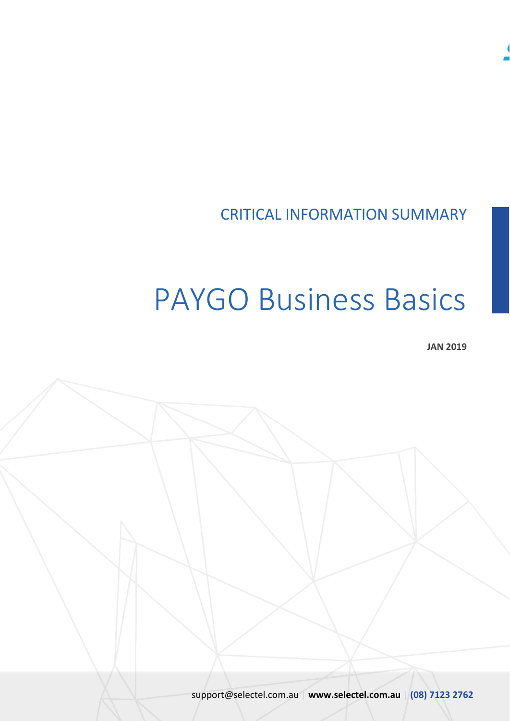

## CRITICAL INFORMATION SUMMARY

# PAYGO Business Basics

**JAN 2019**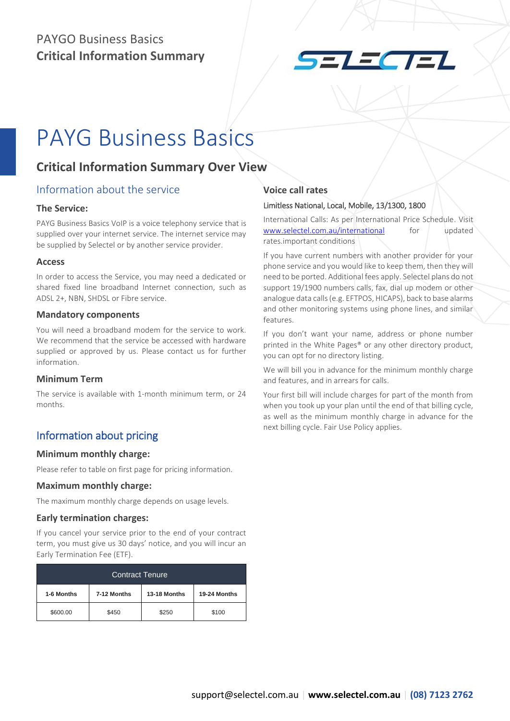

## PAYG Business Basics

### **Critical Information Summary Over View**

#### Information about the service

#### **The Service:**

PAYG Business Basics VoIP is a voice telephony service that is supplied over your internet service. The internet service may be supplied by Selectel or by another service provider.

#### **Access**

In order to access the Service, you may need a dedicated or shared fixed line broadband Internet connection, such as ADSL 2+, NBN, SHDSL or Fibre service.

#### **Mandatory components**

You will need a broadband modem for the service to work. We recommend that the service be accessed with hardware supplied or approved by us. Please contact us for further information.

#### **Minimum Term**

The service is available with 1-month minimum term, or 24 months.

#### Information about pricing

#### **Minimum monthly charge:**

Please refer to table on first page for pricing information.

#### **Maximum monthly charge:**

The maximum monthly charge depends on usage levels.

#### **Early termination charges:**

If you cancel your service prior to the end of your contract term, you must give us 30 days' notice, and you will incur an Early Termination Fee (ETF).

| <b>Contract Tenure</b> |             |              |              |  |  |
|------------------------|-------------|--------------|--------------|--|--|
| 1-6 Months             | 7-12 Months | 13-18 Months | 19-24 Months |  |  |
| \$600.00               | \$450       | \$250        | \$100        |  |  |

#### **Voice call rates**

#### Limitless National, Local, Mobile, 13/1300, 1800

International Calls: As per International Price Schedule. Visit [www.selectel.com.au/international](http://www.selectel.com.au/international) for updated rates.important conditions

If you have current numbers with another provider for your phone service and you would like to keep them, then they will need to be ported. Additional fees apply. Selectel plans do not support 19/1900 numbers calls, fax, dial up modem or other analogue data calls (e.g. EFTPOS, HICAPS), back to base alarms and other monitoring systems using phone lines, and similar features.

If you don't want your name, address or phone number printed in the White Pages® or any other directory product, you can opt for no directory listing.

We will bill you in advance for the minimum monthly charge and features, and in arrears for calls.

Your first bill will include charges for part of the month from when you took up your plan until the end of that billing cycle, as well as the minimum monthly charge in advance for the next billing cycle. Fair Use Policy applies.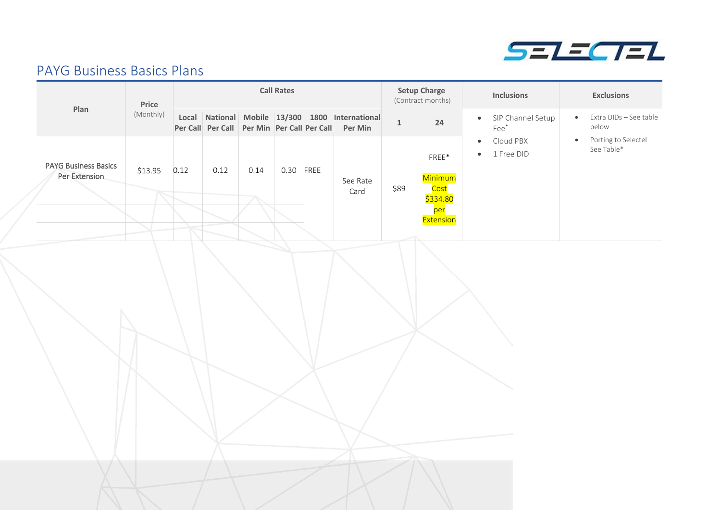

## PAYG Business Basics Plans

|                                              | <b>Call Rates</b><br>Price |      |      | <b>Setup Charge</b><br><b>Inclusions</b><br>(Contract months) |           |                                                                                                        | <b>Exclusions</b> |                                                                                             |                                                   |                                                  |
|----------------------------------------------|----------------------------|------|------|---------------------------------------------------------------|-----------|--------------------------------------------------------------------------------------------------------|-------------------|---------------------------------------------------------------------------------------------|---------------------------------------------------|--------------------------------------------------|
| Plan                                         | (Monthly)                  |      |      |                                                               |           | Local National Mobile 13/300 1800 International<br>Per Call Per Call Per Min Per Call Per Call Per Min | $\mathbf 1$       | $24\,$                                                                                      | · SIP Channel Setup<br>Fee*                       | Extra DIDs - See table<br>$\bullet$<br>below     |
| <b>PAYG Business Basics</b><br>Per Extension | \$13.95                    | 0.12 | 0.12 | 0.14                                                          | 0.30 FREE | See Rate<br>Card                                                                                       | \$89              | ${\sf FREE}^*$<br>Minimum<br><mark>Cost</mark><br>\$334.80<br><mark>per</mark><br>Extension | Cloud PBX<br>$\bullet$<br>1 Free DID<br>$\bullet$ | Porting to Selectel -<br>$\bullet$<br>See Table* |
|                                              |                            |      |      |                                                               |           |                                                                                                        |                   |                                                                                             |                                                   |                                                  |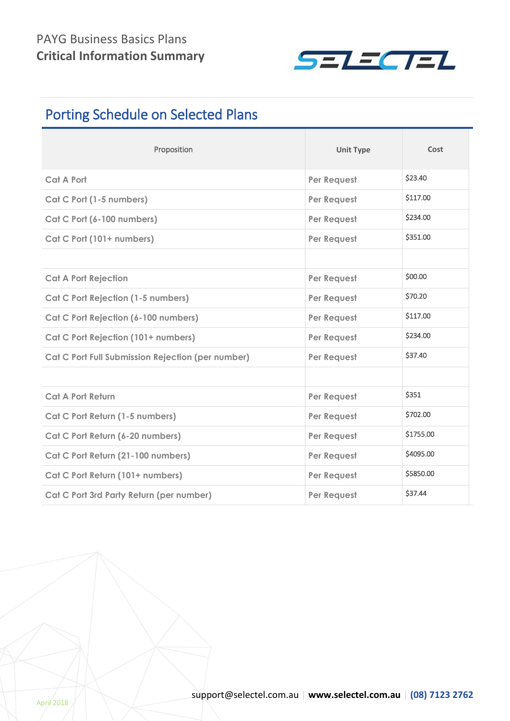

## Porting Schedule on Selected Plans

| Proposition                                       | <b>Unit Type</b> | Cost      |
|---------------------------------------------------|------------------|-----------|
| <b>Cat A Port</b>                                 | Per Request      | \$23.40   |
| Cat C Port (1-5 numbers)                          | Per Request      | \$117.00  |
| Cat C Port (6-100 numbers)                        | Per Request      | \$234.00  |
| Cat C Port (101+ numbers)                         | Per Request      | \$351.00  |
|                                                   |                  |           |
| <b>Cat A Port Rejection</b>                       | Per Request      | \$00.00   |
| <b>Cat C Port Rejection (1-5 numbers)</b>         | Per Request      | \$70.20   |
| Cat C Port Rejection (6-100 numbers)              | Per Request      | \$117.00  |
| Cat C Port Rejection (101+ numbers)               | Per Request      | \$234.00  |
| Cat C Port Full Submission Rejection (per number) | Per Request      | \$37.40   |
|                                                   |                  |           |
| <b>Cat A Port Return</b>                          | Per Request      | \$351     |
| Cat C Port Return (1-5 numbers)                   | Per Request      | \$702.00  |
| Cat C Port Return (6-20 numbers)                  | Per Request      | \$1755.00 |
| Cat C Port Return (21-100 numbers)                | Per Request      | \$4095.00 |
| Cat C Port Return (101+ numbers)                  | Per Request      | \$5850.00 |
| Cat C Port 3rd Party Return (per number)          | Per Request      | \$37.44   |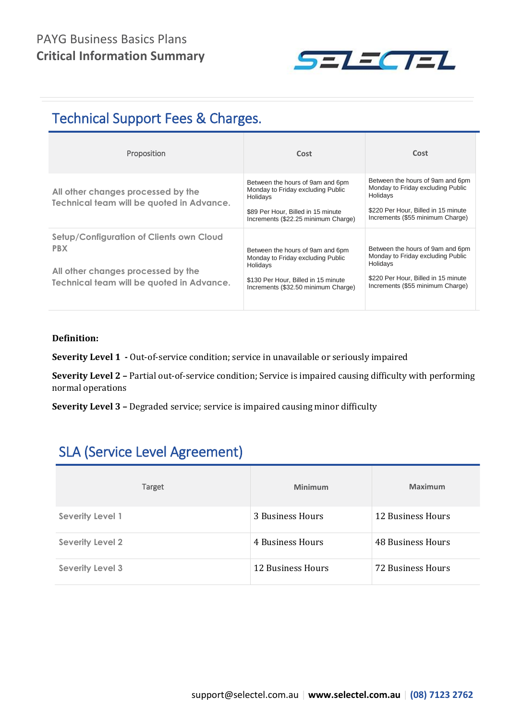

## Technical Support Fees & Charges.

| Proposition                                                                                                                               | Cost                                                                                                                                                            | Cost                                                                                                                                                         |
|-------------------------------------------------------------------------------------------------------------------------------------------|-----------------------------------------------------------------------------------------------------------------------------------------------------------------|--------------------------------------------------------------------------------------------------------------------------------------------------------------|
| All other changes processed by the<br>Technical team will be quoted in Advance.                                                           | Between the hours of 9am and 6pm<br>Monday to Friday excluding Public<br>Holidays<br>\$89 Per Hour, Billed in 15 minute<br>Increments (\$22.25 minimum Charge)  | Between the hours of 9am and 6pm<br>Monday to Friday excluding Public<br>Holidays<br>\$220 Per Hour, Billed in 15 minute<br>Increments (\$55 minimum Charge) |
| Setup/Configuration of Clients own Cloud<br><b>PBX</b><br>All other changes processed by the<br>Technical team will be quoted in Advance. | Between the hours of 9am and 6pm<br>Monday to Friday excluding Public<br>Holidays<br>\$130 Per Hour, Billed in 15 minute<br>Increments (\$32.50 minimum Charge) | Between the hours of 9am and 6pm<br>Monday to Friday excluding Public<br>Holidays<br>\$220 Per Hour, Billed in 15 minute<br>Increments (\$55 minimum Charge) |

#### **Definition:**

**Severity Level 1 -** Out-of-service condition; service in unavailable or seriously impaired

**Severity Level 2 –** Partial out-of-service condition; Service is impaired causing difficulty with performing normal operations

**Severity Level 3 –** Degraded service; service is impaired causing minor difficulty

## SLA (Service Level Agreement)

| Target                  | Minimum           | Maximum           |
|-------------------------|-------------------|-------------------|
| <b>Severity Level 1</b> | 3 Business Hours  | 12 Business Hours |
| <b>Severity Level 2</b> | 4 Business Hours  | 48 Business Hours |
| <b>Severity Level 3</b> | 12 Business Hours | 72 Business Hours |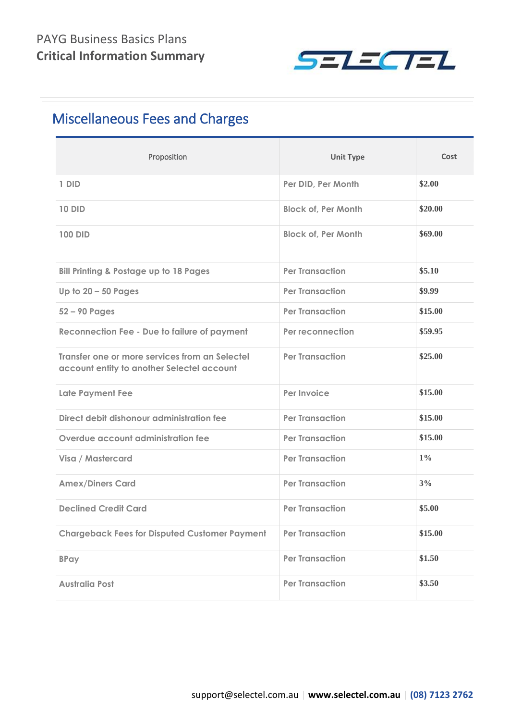

## Miscellaneous Fees and Charges

| Proposition                                                                                  | <b>Unit Type</b>           | Cost    |
|----------------------------------------------------------------------------------------------|----------------------------|---------|
| 1 DID                                                                                        | Per DID, Per Month         | \$2.00  |
| <b>10 DID</b>                                                                                | <b>Block of, Per Month</b> | \$20.00 |
| <b>100 DID</b>                                                                               | <b>Block of, Per Month</b> | \$69.00 |
| <b>Bill Printing &amp; Postage up to 18 Pages</b>                                            | <b>Per Transaction</b>     | \$5.10  |
| Up to $20 - 50$ Pages                                                                        | <b>Per Transaction</b>     | \$9.99  |
| $52 - 90$ Pages                                                                              | <b>Per Transaction</b>     | \$15.00 |
| <b>Reconnection Fee - Due to failure of payment</b>                                          | Per reconnection           | \$59.95 |
| Transfer one or more services from an Selectel<br>account entity to another Selectel account | <b>Per Transaction</b>     | \$25.00 |
| <b>Late Payment Fee</b>                                                                      | Per Invoice                | \$15.00 |
| Direct debit dishonour administration fee                                                    | <b>Per Transaction</b>     | \$15.00 |
| Overdue account administration fee                                                           | <b>Per Transaction</b>     | \$15.00 |
| Visa / Mastercard                                                                            | <b>Per Transaction</b>     | $1\%$   |
| <b>Amex/Diners Card</b>                                                                      | <b>Per Transaction</b>     | 3%      |
| <b>Declined Credit Card</b>                                                                  | <b>Per Transaction</b>     | \$5.00  |
| <b>Chargeback Fees for Disputed Customer Payment</b>                                         | <b>Per Transaction</b>     | \$15.00 |
| <b>BPay</b>                                                                                  | <b>Per Transaction</b>     | \$1.50  |
| <b>Australia Post</b>                                                                        | <b>Per Transaction</b>     | \$3.50  |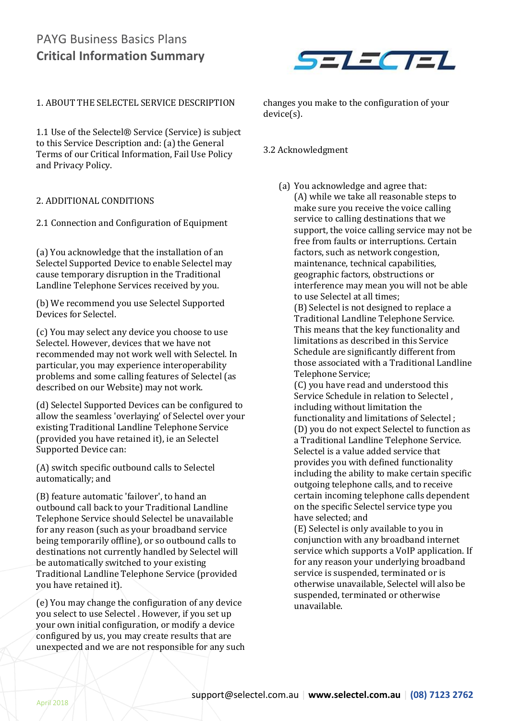

#### 1. ABOUT THE SELECTEL SERVICE DESCRIPTION

1.1 Use of the Selectel® Service (Service) is subject to this Service Description and: (a) the General Terms of our Critical Information, Fail Use Policy and Privacy Policy.

#### 2. ADDITIONAL CONDITIONS

2.1 Connection and Configuration of Equipment

(a) You acknowledge that the installation of an Selectel Supported Device to enable Selectel may cause temporary disruption in the Traditional Landline Telephone Services received by you.

(b) We recommend you use Selectel Supported Devices for Selectel.

(c) You may select any device you choose to use Selectel. However, devices that we have not recommended may not work well with Selectel. In particular, you may experience interoperability problems and some calling features of Selectel (as described on our Website) may not work.

(d) Selectel Supported Devices can be configured to allow the seamless 'overlaying' of Selectel over your existing Traditional Landline Telephone Service (provided you have retained it), ie an Selectel Supported Device can:

(A) switch specific outbound calls to Selectel automatically; and

(B) feature automatic 'failover', to hand an outbound call back to your Traditional Landline Telephone Service should Selectel be unavailable for any reason (such as your broadband service being temporarily offline), or so outbound calls to destinations not currently handled by Selectel will be automatically switched to your existing Traditional Landline Telephone Service (provided you have retained it).

(e) You may change the configuration of any device you select to use Selectel . However, if you set up your own initial configuration, or modify a device configured by us, you may create results that are unexpected and we are not responsible for any such changes you make to the configuration of your device(s).

#### 3.2 Acknowledgment

(a) You acknowledge and agree that: (A) while we take all reasonable steps to make sure you receive the voice calling service to calling destinations that we support, the voice calling service may not be free from faults or interruptions. Certain factors, such as network congestion, maintenance, technical capabilities, geographic factors, obstructions or interference may mean you will not be able to use Selectel at all times;

(B) Selectel is not designed to replace a Traditional Landline Telephone Service. This means that the key functionality and limitations as described in this Service Schedule are significantly different from those associated with a Traditional Landline Telephone Service;

(C) you have read and understood this Service Schedule in relation to Selectel , including without limitation the functionality and limitations of Selectel ; (D) you do not expect Selectel to function as a Traditional Landline Telephone Service. Selectel is a value added service that provides you with defined functionality including the ability to make certain specific outgoing telephone calls, and to receive certain incoming telephone calls dependent on the specific Selectel service type you have selected; and

(E) Selectel is only available to you in conjunction with any broadband internet service which supports a VoIP application. If for any reason your underlying broadband service is suspended, terminated or is otherwise unavailable, Selectel will also be suspended, terminated or otherwise unavailable.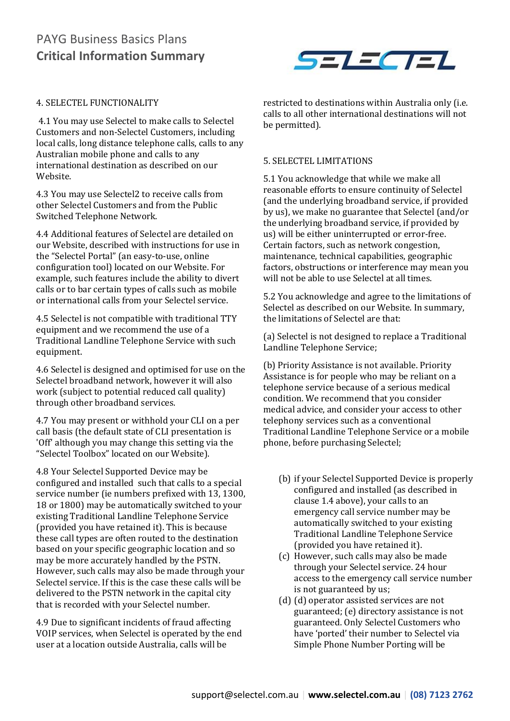

#### 4. SELECTEL FUNCTIONALITY

4.1 You may use Selectel to make calls to Selectel Customers and non-Selectel Customers, including local calls, long distance telephone calls, calls to any Australian mobile phone and calls to any international destination as described on our Website.

4.3 You may use Selectel2 to receive calls from other Selectel Customers and from the Public Switched Telephone Network.

4.4 Additional features of Selectel are detailed on our Website, described with instructions for use in the "Selectel Portal" (an easy-to-use, online configuration tool) located on our Website. For example, such features include the ability to divert calls or to bar certain types of calls such as mobile or international calls from your Selectel service.

4.5 Selectel is not compatible with traditional TTY equipment and we recommend the use of a Traditional Landline Telephone Service with such equipment.

4.6 Selectel is designed and optimised for use on the Selectel broadband network, however it will also work (subject to potential reduced call quality) through other broadband services.

4.7 You may present or withhold your CLI on a per call basis (the default state of CLI presentation is 'Off' although you may change this setting via the "Selectel Toolbox" located on our Website).

4.8 Your Selectel Supported Device may be configured and installed such that calls to a special service number (ie numbers prefixed with 13, 1300, 18 or 1800) may be automatically switched to your existing Traditional Landline Telephone Service (provided you have retained it). This is because these call types are often routed to the destination based on your specific geographic location and so may be more accurately handled by the PSTN. However, such calls may also be made through your Selectel service. If this is the case these calls will be delivered to the PSTN network in the capital city that is recorded with your Selectel number.

4.9 Due to significant incidents of fraud affecting VOIP services, when Selectel is operated by the end user at a location outside Australia, calls will be

restricted to destinations within Australia only (i.e. calls to all other international destinations will not be permitted).

#### 5. SELECTEL LIMITATIONS

5.1 You acknowledge that while we make all reasonable efforts to ensure continuity of Selectel (and the underlying broadband service, if provided by us), we make no guarantee that Selectel (and/or the underlying broadband service, if provided by us) will be either uninterrupted or error-free. Certain factors, such as network congestion, maintenance, technical capabilities, geographic factors, obstructions or interference may mean you will not be able to use Selectel at all times.

5.2 You acknowledge and agree to the limitations of Selectel as described on our Website. In summary, the limitations of Selectel are that:

(a) Selectel is not designed to replace a Traditional Landline Telephone Service;

(b) Priority Assistance is not available. Priority Assistance is for people who may be reliant on a telephone service because of a serious medical condition. We recommend that you consider medical advice, and consider your access to other telephony services such as a conventional Traditional Landline Telephone Service or a mobile phone, before purchasing Selectel;

- (b) if your Selectel Supported Device is properly configured and installed (as described in clause 1.4 above), your calls to an emergency call service number may be automatically switched to your existing Traditional Landline Telephone Service (provided you have retained it).
- (c) However, such calls may also be made through your Selectel service. 24 hour access to the emergency call service number is not guaranteed by us;
- (d) (d) operator assisted services are not guaranteed; (e) directory assistance is not guaranteed. Only Selectel Customers who have 'ported' their number to Selectel via Simple Phone Number Porting will be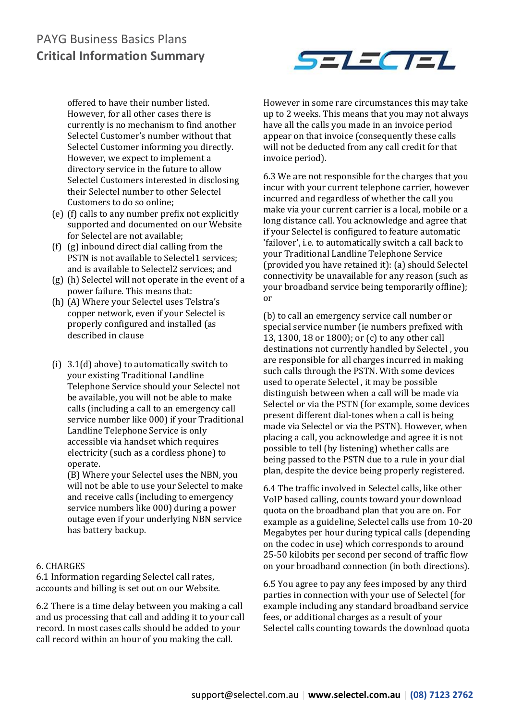

offered to have their number listed. However, for all other cases there is currently is no mechanism to find another Selectel Customer's number without that Selectel Customer informing you directly. However, we expect to implement a directory service in the future to allow Selectel Customers interested in disclosing their Selectel number to other Selectel Customers to do so online;

- (e) (f) calls to any number prefix not explicitly supported and documented on our Website for Selectel are not available;
- (f) (g) inbound direct dial calling from the PSTN is not available to Selectel1 services; and is available to Selectel2 services; and
- (g) (h) Selectel will not operate in the event of a power failure. This means that:
- (h) (A) Where your Selectel uses Telstra's copper network, even if your Selectel is properly configured and installed (as described in clause
- (i) 3.1(d) above) to automatically switch to your existing Traditional Landline Telephone Service should your Selectel not be available, you will not be able to make calls (including a call to an emergency call service number like 000) if your Traditional Landline Telephone Service is only accessible via handset which requires electricity (such as a cordless phone) to operate.

(B) Where your Selectel uses the NBN, you will not be able to use your Selectel to make and receive calls (including to emergency service numbers like 000) during a power outage even if your underlying NBN service has battery backup.

#### 6. CHARGES

6.1 Information regarding Selectel call rates, accounts and billing is set out on our Website.

6.2 There is a time delay between you making a call and us processing that call and adding it to your call record. In most cases calls should be added to your call record within an hour of you making the call.

However in some rare circumstances this may take up to 2 weeks. This means that you may not always have all the calls you made in an invoice period appear on that invoice (consequently these calls will not be deducted from any call credit for that invoice period).

6.3 We are not responsible for the charges that you incur with your current telephone carrier, however incurred and regardless of whether the call you make via your current carrier is a local, mobile or a long distance call. You acknowledge and agree that if your Selectel is configured to feature automatic 'failover', i.e. to automatically switch a call back to your Traditional Landline Telephone Service (provided you have retained it): (a) should Selectel connectivity be unavailable for any reason (such as your broadband service being temporarily offline); or

(b) to call an emergency service call number or special service number (ie numbers prefixed with 13, 1300, 18 or 1800); or (c) to any other call destinations not currently handled by Selectel , you are responsible for all charges incurred in making such calls through the PSTN. With some devices used to operate Selectel , it may be possible distinguish between when a call will be made via Selectel or via the PSTN (for example, some devices present different dial-tones when a call is being made via Selectel or via the PSTN). However, when placing a call, you acknowledge and agree it is not possible to tell (by listening) whether calls are being passed to the PSTN due to a rule in your dial plan, despite the device being properly registered.

6.4 The traffic involved in Selectel calls, like other VoIP based calling, counts toward your download quota on the broadband plan that you are on. For example as a guideline, Selectel calls use from 10-20 Megabytes per hour during typical calls (depending on the codec in use) which corresponds to around 25-50 kilobits per second per second of traffic flow on your broadband connection (in both directions).

6.5 You agree to pay any fees imposed by any third parties in connection with your use of Selectel (for example including any standard broadband service fees, or additional charges as a result of your Selectel calls counting towards the download quota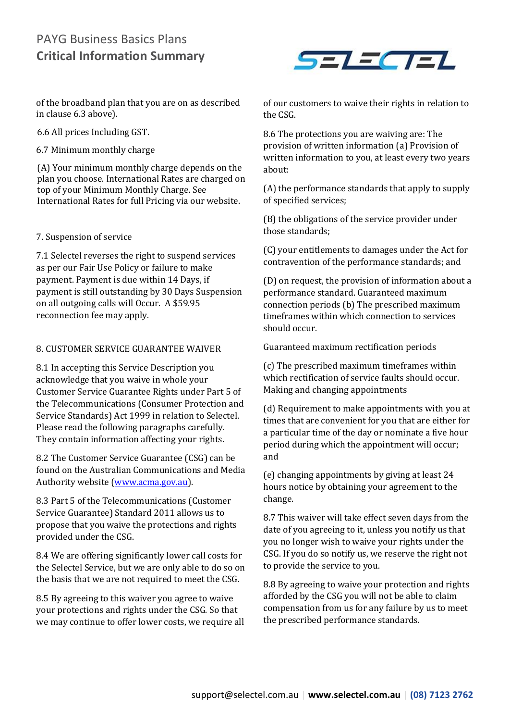of the broadband plan that you are on as described in clause 6.3 above).

6.6 All prices Including GST.

6.7 Minimum monthly charge

(A) Your minimum monthly charge depends on the plan you choose. International Rates are charged on top of your Minimum Monthly Charge. See International Rates for full Pricing via our website.

#### 7. Suspension of service

7.1 Selectel reverses the right to suspend services as per our Fair Use Policy or failure to make payment. Payment is due within 14 Days, if payment is still outstanding by 30 Days Suspension on all outgoing calls will Occur. A \$59.95 reconnection fee may apply.

#### 8. CUSTOMER SERVICE GUARANTEE WAIVER

8.1 In accepting this Service Description you acknowledge that you waive in whole your Customer Service Guarantee Rights under Part 5 of the Telecommunications (Consumer Protection and Service Standards) Act 1999 in relation to Selectel. Please read the following paragraphs carefully. They contain information affecting your rights.

8.2 The Customer Service Guarantee (CSG) can be found on the Australian Communications and Media Authority website [\(www.acma.gov.au\)](http://www.acma.gov.au/).

8.3 Part 5 of the Telecommunications (Customer Service Guarantee) Standard 2011 allows us to propose that you waive the protections and rights provided under the CSG.

8.4 We are offering significantly lower call costs for the Selectel Service, but we are only able to do so on the basis that we are not required to meet the CSG.

8.5 By agreeing to this waiver you agree to waive your protections and rights under the CSG. So that we may continue to offer lower costs, we require all



of our customers to waive their rights in relation to the CSG.

8.6 The protections you are waiving are: The provision of written information (a) Provision of written information to you, at least every two years about:

(A) the performance standards that apply to supply of specified services;

(B) the obligations of the service provider under those standards;

(C) your entitlements to damages under the Act for contravention of the performance standards; and

(D) on request, the provision of information about a performance standard. Guaranteed maximum connection periods (b) The prescribed maximum timeframes within which connection to services should occur.

Guaranteed maximum rectification periods

(c) The prescribed maximum timeframes within which rectification of service faults should occur. Making and changing appointments

(d) Requirement to make appointments with you at times that are convenient for you that are either for a particular time of the day or nominate a five hour period during which the appointment will occur; and

(e) changing appointments by giving at least 24 hours notice by obtaining your agreement to the change.

8.7 This waiver will take effect seven days from the date of you agreeing to it, unless you notify us that you no longer wish to waive your rights under the CSG. If you do so notify us, we reserve the right not to provide the service to you.

8.8 By agreeing to waive your protection and rights afforded by the CSG you will not be able to claim compensation from us for any failure by us to meet the prescribed performance standards.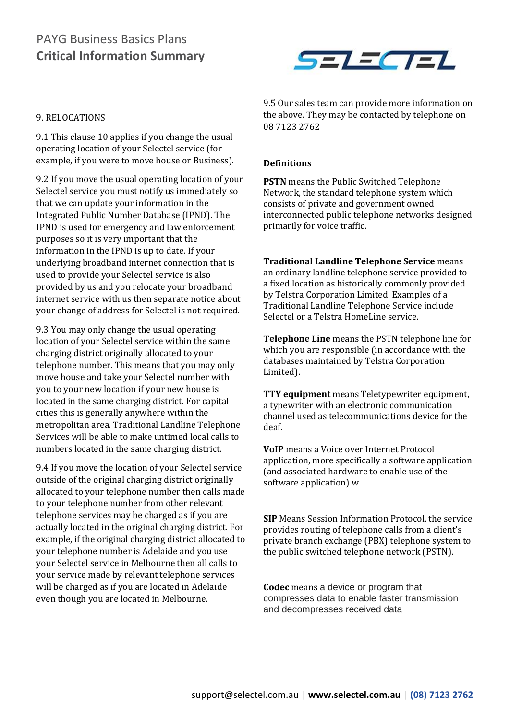

#### 9. RELOCATIONS

9.1 This clause 10 applies if you change the usual operating location of your Selectel service (for example, if you were to move house or Business).

9.2 If you move the usual operating location of your Selectel service you must notify us immediately so that we can update your information in the Integrated Public Number Database (IPND). The IPND is used for emergency and law enforcement purposes so it is very important that the information in the IPND is up to date. If your underlying broadband internet connection that is used to provide your Selectel service is also provided by us and you relocate your broadband internet service with us then separate notice about your change of address for Selectel is not required.

9.3 You may only change the usual operating location of your Selectel service within the same charging district originally allocated to your telephone number. This means that you may only move house and take your Selectel number with you to your new location if your new house is located in the same charging district. For capital cities this is generally anywhere within the metropolitan area. Traditional Landline Telephone Services will be able to make untimed local calls to numbers located in the same charging district.

9.4 If you move the location of your Selectel service outside of the original charging district originally allocated to your telephone number then calls made to your telephone number from other relevant telephone services may be charged as if you are actually located in the original charging district. For example, if the original charging district allocated to your telephone number is Adelaide and you use your Selectel service in Melbourne then all calls to your service made by relevant telephone services will be charged as if you are located in Adelaide even though you are located in Melbourne.

9.5 Our sales team can provide more information on the above. They may be contacted by telephone on 08 7123 2762

#### **Definitions**

**PSTN** means the Public Switched Telephone Network, the standard telephone system which consists of private and government owned interconnected public telephone networks designed primarily for voice traffic.

**Traditional Landline Telephone Service** means an ordinary landline telephone service provided to a fixed location as historically commonly provided by Telstra Corporation Limited. Examples of a Traditional Landline Telephone Service include Selectel or a Telstra HomeLine service.

**Telephone Line** means the PSTN telephone line for which you are responsible (in accordance with the databases maintained by Telstra Corporation Limited).

**TTY equipment** means Teletypewriter equipment, a typewriter with an electronic communication channel used as telecommunications device for the deaf.

**VoIP** means a Voice over Internet Protocol application, more specifically a software application (and associated hardware to enable use of the software application) w

**SIP** Means Session Information Protocol, the service provides routing of telephone calls from a client's private branch exchange (PBX) telephone system to the public switched telephone network (PSTN).

**Codec** means a device or program that compresses data to enable faster transmission and decompresses received data